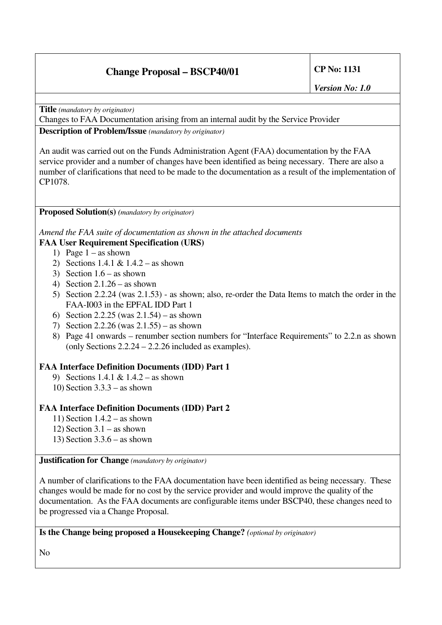# **Change Proposal – BSCP40/01 CP No: 1131**

*Version No: 1.0*

**Title** *(mandatory by originator)*

Changes to FAA Documentation arising from an internal audit by the Service Provider **Description of Problem/Issue** *(mandatory by originator)*

An audit was carried out on the Funds Administration Agent (FAA) documentation by the FAA service provider and a number of changes have been identified as being necessary. There are also a number of clarifications that need to be made to the documentation as a result of the implementation of CP1078.

#### **Proposed Solution(s)** *(mandatory by originator)*

*Amend the FAA suite of documentation as shown in the attached documents*

## **FAA User Requirement Specification (URS)**

- 1) Page  $1 -$ as shown
- 2) Sections 1.4.1 & 1.4.2 as shown
- 3) Section  $1.6 -$  as shown
- 4) Section 2.1.26 as shown
- 5) Section 2.2.24 (was 2.1.53) as shown; also, re-order the Data Items to match the order in the FAA-I003 in the EPFAL IDD Part 1
- 6) Section 2.2.25 (was 2.1.54) as shown
- 7) Section 2.2.26 (was 2.1.55) as shown
- 8) Page 41 onwards renumber section numbers for "Interface Requirements" to 2.2.n as shown (only Sections 2.2.24 – 2.2.26 included as examples).

### **FAA Interface Definition Documents (IDD) Part 1**

- 9) Sections 1.4.1 & 1.4.2 as shown
- 10) Section 3.3.3 as shown

### **FAA Interface Definition Documents (IDD) Part 2**

- 11) Section 1.4.2 as shown
- 12) Section 3.1 as shown
- 13) Section 3.3.6 as shown

#### **Justification for Change** *(mandatory by originator)*

A number of clarifications to the FAA documentation have been identified as being necessary. These changes would be made for no cost by the service provider and would improve the quality of the documentation. As the FAA documents are configurable items under BSCP40, these changes need to be progressed via a Change Proposal.

**Is the Change being proposed a Housekeeping Change?** *(optional by originator)*

No